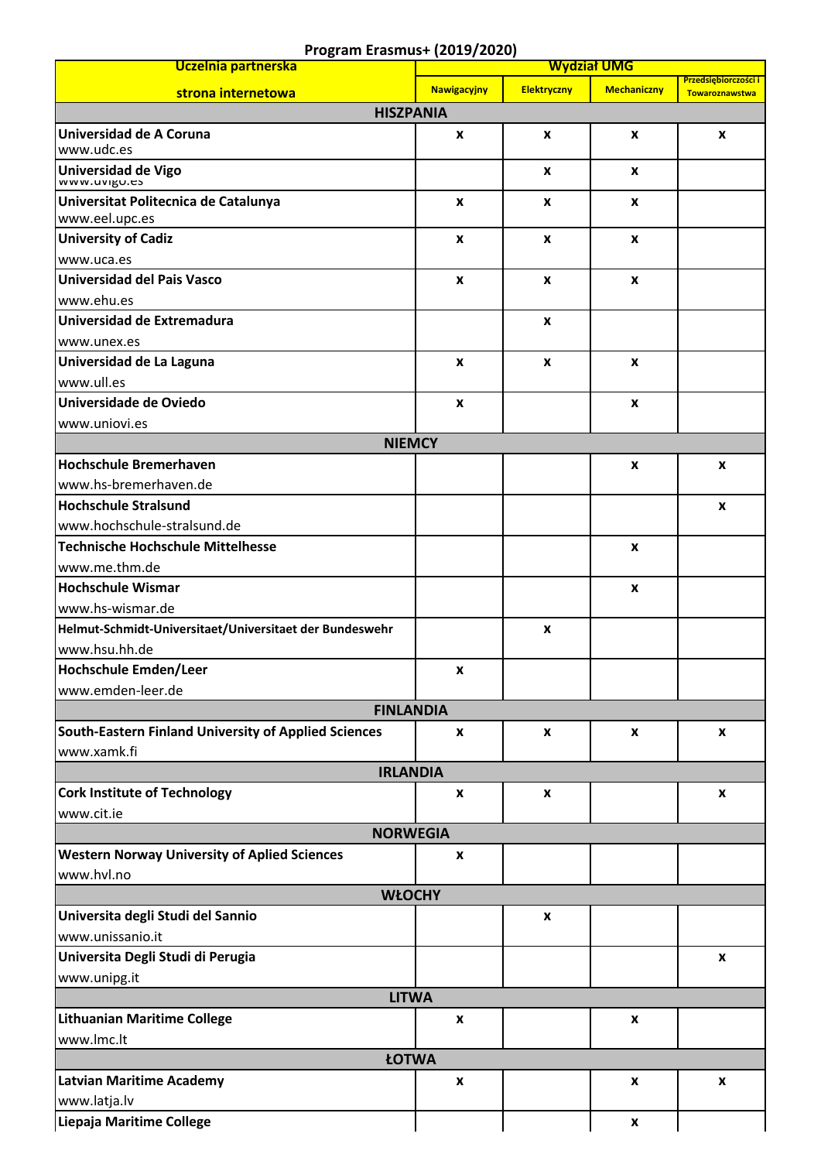| Program Erasmus+ (2019/2020)                                |                                            |                    |                    |                |  |  |  |
|-------------------------------------------------------------|--------------------------------------------|--------------------|--------------------|----------------|--|--|--|
| Uczelnia partnerska                                         | <b>Wydział UMG</b><br>Przedsiębiorczości i |                    |                    |                |  |  |  |
| strona internetowa                                          | <b>Nawigacyjny</b>                         | <b>Elektryczny</b> | <b>Mechaniczny</b> | Towaroznawstwa |  |  |  |
| <b>HISZPANIA</b>                                            |                                            |                    |                    |                |  |  |  |
| Universidad de A Coruna<br>www.udc.es                       | X                                          | X                  | X                  | X              |  |  |  |
| Universidad de Vigo<br>www.uvigo.es                         |                                            | $\mathbf{x}$       | X                  |                |  |  |  |
| Universitat Politecnica de Catalunya<br>www.eel.upc.es      | X                                          | X                  | X                  |                |  |  |  |
| <b>University of Cadiz</b>                                  | X                                          | X                  | X                  |                |  |  |  |
| www.uca.es<br><b>Universidad del Pais Vasco</b>             | $\mathbf{x}$                               | $\mathbf{x}$       | $\mathbf{x}$       |                |  |  |  |
| www.ehu.es                                                  |                                            |                    |                    |                |  |  |  |
|                                                             |                                            |                    |                    |                |  |  |  |
| Universidad de Extremadura                                  |                                            | X                  |                    |                |  |  |  |
| www.unex.es                                                 |                                            |                    |                    |                |  |  |  |
| Universidad de La Laguna                                    | $\mathbf{x}$                               | X                  | X                  |                |  |  |  |
| www.ull.es<br>Universidade de Oviedo                        |                                            |                    |                    |                |  |  |  |
|                                                             | $\mathbf{x}$                               |                    | X                  |                |  |  |  |
| www.uniovi.es<br><b>NIEMCY</b>                              |                                            |                    |                    |                |  |  |  |
| <b>Hochschule Bremerhaven</b>                               |                                            |                    | X                  | X              |  |  |  |
| www.hs-bremerhaven.de                                       |                                            |                    |                    |                |  |  |  |
| <b>Hochschule Stralsund</b>                                 |                                            |                    |                    | X              |  |  |  |
| www.hochschule-stralsund.de                                 |                                            |                    |                    |                |  |  |  |
| <b>Technische Hochschule Mittelhesse</b>                    |                                            |                    | $\boldsymbol{x}$   |                |  |  |  |
| www.me.thm.de                                               |                                            |                    |                    |                |  |  |  |
| <b>Hochschule Wismar</b>                                    |                                            |                    | X                  |                |  |  |  |
| www.hs-wismar.de                                            |                                            |                    |                    |                |  |  |  |
| Helmut-Schmidt-Universitaet/Universitaet der Bundeswehr     |                                            | X                  |                    |                |  |  |  |
| www.hsu.hh.de                                               |                                            |                    |                    |                |  |  |  |
| Hochschule Emden/Leer                                       | X                                          |                    |                    |                |  |  |  |
| www.emden-leer.de                                           |                                            |                    |                    |                |  |  |  |
| <b>FINLANDIA</b>                                            |                                            |                    |                    |                |  |  |  |
| <b>South-Eastern Finland University of Applied Sciences</b> | X                                          | X                  | X                  | X              |  |  |  |
| www.xamk.fi                                                 |                                            |                    |                    |                |  |  |  |
| <b>IRLANDIA</b>                                             |                                            |                    |                    |                |  |  |  |
| <b>Cork Institute of Technology</b>                         | X                                          | x                  |                    | X              |  |  |  |
| www.cit.ie                                                  |                                            |                    |                    |                |  |  |  |
| <b>NORWEGIA</b>                                             |                                            |                    |                    |                |  |  |  |
| <b>Western Norway University of Aplied Sciences</b>         | X                                          |                    |                    |                |  |  |  |
| www.hvl.no                                                  |                                            |                    |                    |                |  |  |  |
| <b>WŁOCHY</b>                                               |                                            |                    |                    |                |  |  |  |
| Universita degli Studi del Sannio                           |                                            | X                  |                    |                |  |  |  |
| www.unissanio.it                                            |                                            |                    |                    |                |  |  |  |
| Universita Degli Studi di Perugia                           |                                            |                    |                    | X              |  |  |  |
| www.unipg.it                                                |                                            |                    |                    |                |  |  |  |
| <b>LITWA</b>                                                |                                            |                    |                    |                |  |  |  |
| <b>Lithuanian Maritime College</b>                          | X                                          |                    | x                  |                |  |  |  |
| www.lmc.lt<br><b>ŁOTWA</b>                                  |                                            |                    |                    |                |  |  |  |
| <b>Latvian Maritime Academy</b>                             |                                            |                    | X                  | X              |  |  |  |
| www.latja.lv                                                | X                                          |                    |                    |                |  |  |  |
| Liepaja Maritime College                                    |                                            |                    | X                  |                |  |  |  |
|                                                             |                                            |                    |                    |                |  |  |  |